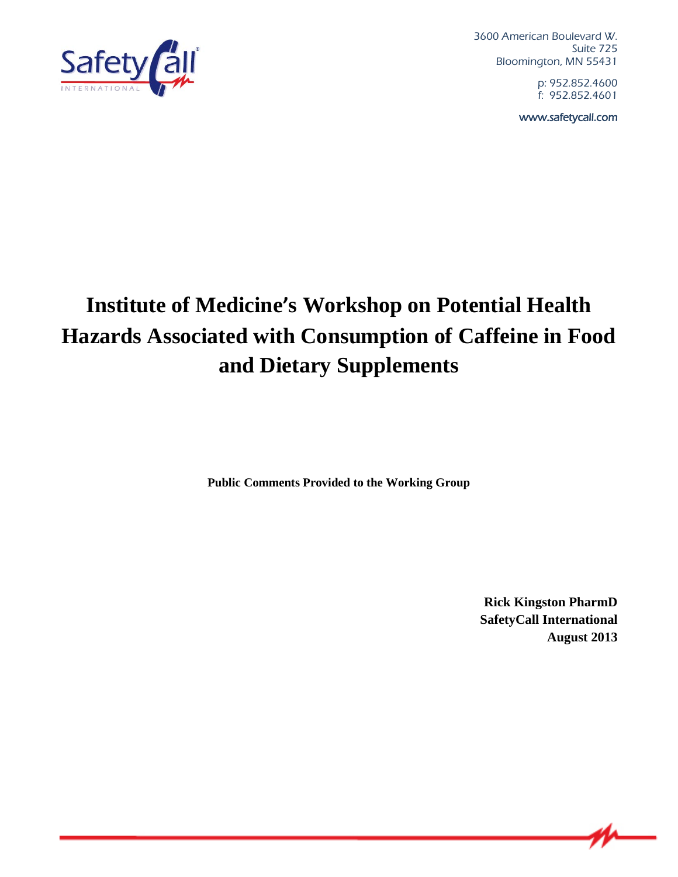

3600 American Boulevard W. Suite 725 Bloomington, MN 55431

> p: 952.852.4600 f: 952.852.4601

www.safetycall.com

## **Institute of Medicine's Workshop on Potential Health Hazards Associated with Consumption of Caffeine in Food and Dietary Supplements**

**Public Comments Provided to the Working Group**

**Rick Kingston PharmD SafetyCall International August 2013**